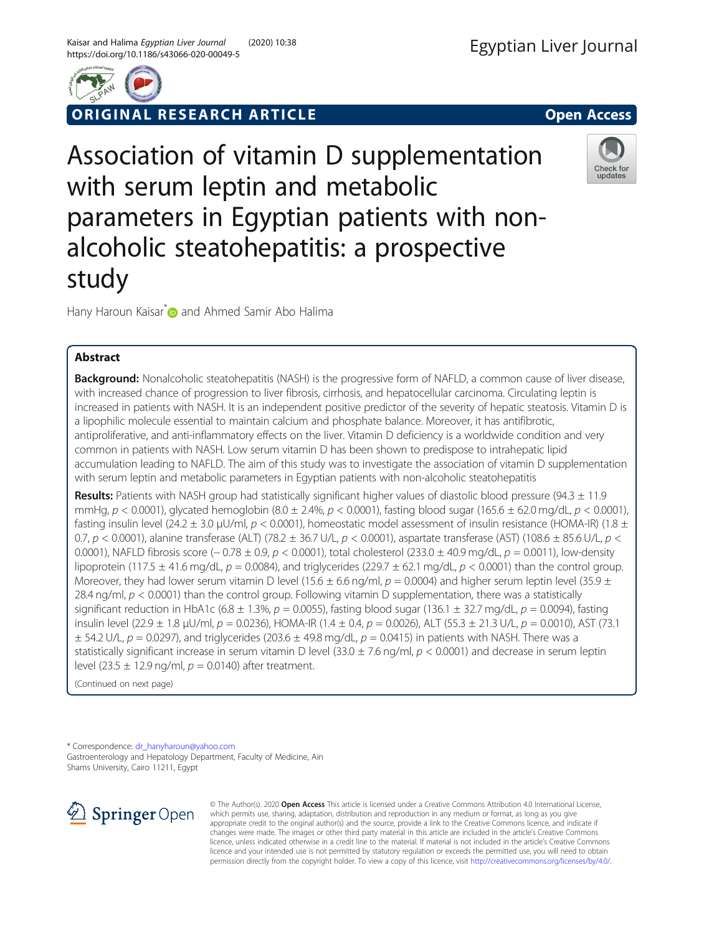



ORIGINAL RESEARCH ARTICLE **External of the Contract Open Access** 

Association of vitamin D supplementation with serum leptin and metabolic parameters in Egyptian patients with nonalcoholic steatohepatitis: a prospective study



Hany Haroun Kaisar<sup>\*</sup> and Ahmed Samir Abo Halima

# Abstract

Background: Nonalcoholic steatohepatitis (NASH) is the progressive form of NAFLD, a common cause of liver disease, with increased chance of progression to liver fibrosis, cirrhosis, and hepatocellular carcinoma. Circulating leptin is increased in patients with NASH. It is an independent positive predictor of the severity of hepatic steatosis. Vitamin D is a lipophilic molecule essential to maintain calcium and phosphate balance. Moreover, it has antifibrotic, antiproliferative, and anti-inflammatory effects on the liver. Vitamin D deficiency is a worldwide condition and very common in patients with NASH. Low serum vitamin D has been shown to predispose to intrahepatic lipid accumulation leading to NAFLD. The aim of this study was to investigate the association of vitamin D supplementation with serum leptin and metabolic parameters in Egyptian patients with non-alcoholic steatohepatitis

Results: Patients with NASH group had statistically significant higher values of diastolic blood pressure (94.3  $\pm$  11.9 mmHg,  $p < 0.0001$ ), glycated hemoglobin  $(8.0 \pm 2.4\%, p < 0.0001)$ , fasting blood sugar  $(165.6 \pm 62.0 \text{ mg/dL}, p < 0.0001)$ , fasting insulin level (24.2  $\pm$  3.0 µU/ml,  $p < 0.0001$ ), homeostatic model assessment of insulin resistance (HOMA-IR) (1.8  $\pm$ 0.7, p < 0.0001), alanine transferase (ALT) (78.2  $\pm$  36.7 U/L, p < 0.0001), aspartate transferase (AST) (108.6  $\pm$  85.6 U/L, p < 0.0001), NAFLD fibrosis score (− 0.78 ± 0.9, p < 0.0001), total cholesterol (233.0 ± 40.9 mg/dL, p = 0.0011), low-density lipoprotein (117.5  $\pm$  41.6 mg/dL,  $p = 0.0084$ ), and triglycerides (229.7  $\pm$  62.1 mg/dL,  $p < 0.0001$ ) than the control group. Moreover, they had lower serum vitamin D level (15.6  $\pm$  6.6 ng/ml, p = 0.0004) and higher serum leptin level (35.9  $\pm$ 28.4 ng/ml,  $p < 0.0001$ ) than the control group. Following vitamin D supplementation, there was a statistically significant reduction in HbA1c (6.8  $\pm$  1.3%, p = 0.0055), fasting blood sugar (136.1  $\pm$  32.7 mg/dL, p = 0.0094), fasting insulin level (22.9  $\pm$  1.8 µU/ml, p = 0.0236), HOMA-IR (1.4  $\pm$  0.4, p = 0.0026), ALT (55.3  $\pm$  21.3 U/L, p = 0.0010), AST (73.1  $\pm$  54.2 U/L,  $p = 0.0297$ ), and triglycerides (203.6  $\pm$  49.8 mg/dL,  $p = 0.0415$ ) in patients with NASH. There was a statistically significant increase in serum vitamin D level (33.0  $\pm$  7.6 ng/ml,  $p < 0.0001$ ) and decrease in serum leptin level (23.5  $\pm$  12.9 ng/ml,  $p = 0.0140$ ) after treatment.

(Continued on next page)

\* Correspondence: [dr\\_hanyharoun@yahoo.com](mailto:dr_hanyharoun@yahoo.com) Gastroenterology and Hepatology Department, Faculty of Medicine, Ain Shams University, Cairo 11211, Egypt



© The Author(s). 2020 Open Access This article is licensed under a Creative Commons Attribution 4.0 International License, which permits use, sharing, adaptation, distribution and reproduction in any medium or format, as long as you give appropriate credit to the original author(s) and the source, provide a link to the Creative Commons licence, and indicate if changes were made. The images or other third party material in this article are included in the article's Creative Commons licence, unless indicated otherwise in a credit line to the material. If material is not included in the article's Creative Commons licence and your intended use is not permitted by statutory regulation or exceeds the permitted use, you will need to obtain permission directly from the copyright holder. To view a copy of this licence, visit <http://creativecommons.org/licenses/by/4.0/>.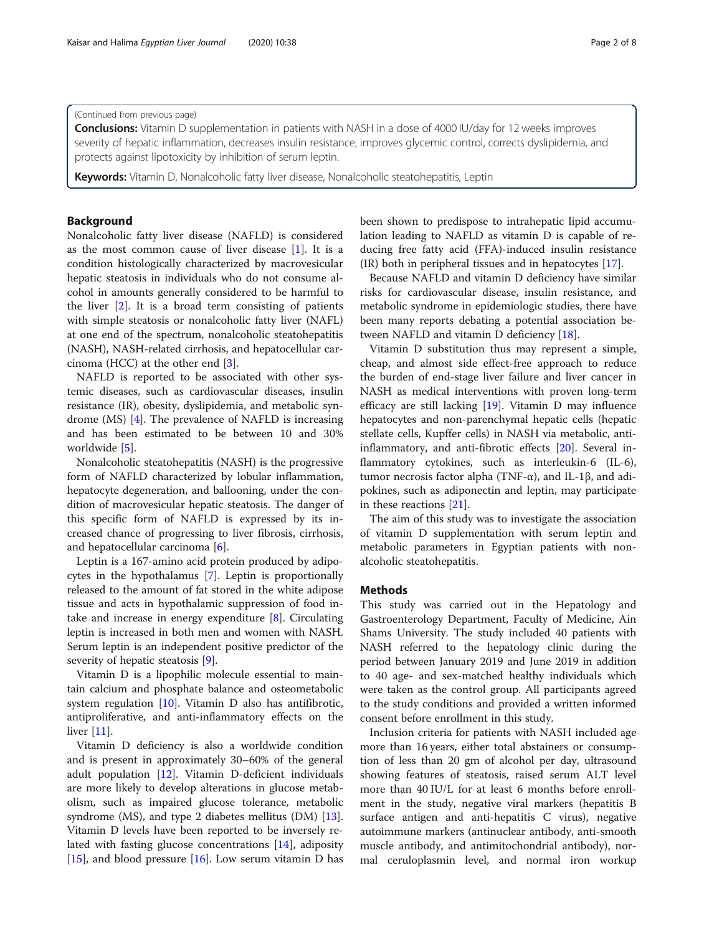## (Continued from previous page)

**Conclusions:** Vitamin D supplementation in patients with NASH in a dose of 4000 IU/day for 12 weeks improves severity of hepatic inflammation, decreases insulin resistance, improves glycemic control, corrects dyslipidemia, and protects against lipotoxicity by inhibition of serum leptin.

**Keywords:** Vitamin D, Nonalcoholic fatty liver disease, Nonalcoholic steatohepatitis, Leptin

## Background

Nonalcoholic fatty liver disease (NAFLD) is considered as the most common cause of liver disease [[1\]](#page-6-0). It is a condition histologically characterized by macrovesicular hepatic steatosis in individuals who do not consume alcohol in amounts generally considered to be harmful to the liver  $[2]$  $[2]$ . It is a broad term consisting of patients with simple steatosis or nonalcoholic fatty liver (NAFL) at one end of the spectrum, nonalcoholic steatohepatitis (NASH), NASH-related cirrhosis, and hepatocellular carcinoma (HCC) at the other end [[3\]](#page-6-0).

NAFLD is reported to be associated with other systemic diseases, such as cardiovascular diseases, insulin resistance (IR), obesity, dyslipidemia, and metabolic syndrome (MS) [\[4](#page-6-0)]. The prevalence of NAFLD is increasing and has been estimated to be between 10 and 30% worldwide [\[5](#page-6-0)].

Nonalcoholic steatohepatitis (NASH) is the progressive form of NAFLD characterized by lobular inflammation, hepatocyte degeneration, and ballooning, under the condition of macrovesicular hepatic steatosis. The danger of this specific form of NAFLD is expressed by its increased chance of progressing to liver fibrosis, cirrhosis, and hepatocellular carcinoma [[6\]](#page-6-0).

Leptin is a 167-amino acid protein produced by adipocytes in the hypothalamus [\[7\]](#page-6-0). Leptin is proportionally released to the amount of fat stored in the white adipose tissue and acts in hypothalamic suppression of food intake and increase in energy expenditure [\[8](#page-6-0)]. Circulating leptin is increased in both men and women with NASH. Serum leptin is an independent positive predictor of the severity of hepatic steatosis [\[9\]](#page-6-0).

Vitamin D is a lipophilic molecule essential to maintain calcium and phosphate balance and osteometabolic system regulation  $[10]$  $[10]$ . Vitamin D also has antifibrotic, antiproliferative, and anti-inflammatory effects on the liver [[11](#page-6-0)].

Vitamin D deficiency is also a worldwide condition and is present in approximately 30–60% of the general adult population [[12\]](#page-6-0). Vitamin D-deficient individuals are more likely to develop alterations in glucose metabolism, such as impaired glucose tolerance, metabolic syndrome (MS), and type 2 diabetes mellitus (DM) [\[13](#page-6-0)]. Vitamin D levels have been reported to be inversely related with fasting glucose concentrations [\[14\]](#page-6-0), adiposity [[15\]](#page-6-0), and blood pressure  $[16]$ . Low serum vitamin D has been shown to predispose to intrahepatic lipid accumulation leading to NAFLD as vitamin D is capable of reducing free fatty acid (FFA)-induced insulin resistance (IR) both in peripheral tissues and in hepatocytes [[17\]](#page-6-0).

Because NAFLD and vitamin D deficiency have similar risks for cardiovascular disease, insulin resistance, and metabolic syndrome in epidemiologic studies, there have been many reports debating a potential association between NAFLD and vitamin D deficiency [[18](#page-6-0)].

Vitamin D substitution thus may represent a simple, cheap, and almost side effect-free approach to reduce the burden of end-stage liver failure and liver cancer in NASH as medical interventions with proven long-term efficacy are still lacking [[19](#page-6-0)]. Vitamin D may influence hepatocytes and non-parenchymal hepatic cells (hepatic stellate cells, Kupffer cells) in NASH via metabolic, antiinflammatory, and anti-fibrotic effects [\[20](#page-6-0)]. Several inflammatory cytokines, such as interleukin-6 (IL-6), tumor necrosis factor alpha (TNF-α), and IL-1β, and adipokines, such as adiponectin and leptin, may participate in these reactions [[21](#page-6-0)].

The aim of this study was to investigate the association of vitamin D supplementation with serum leptin and metabolic parameters in Egyptian patients with nonalcoholic steatohepatitis.

## Methods

This study was carried out in the Hepatology and Gastroenterology Department, Faculty of Medicine, Ain Shams University. The study included 40 patients with NASH referred to the hepatology clinic during the period between January 2019 and June 2019 in addition to 40 age- and sex-matched healthy individuals which were taken as the control group. All participants agreed to the study conditions and provided a written informed consent before enrollment in this study.

Inclusion criteria for patients with NASH included age more than 16 years, either total abstainers or consumption of less than 20 gm of alcohol per day, ultrasound showing features of steatosis, raised serum ALT level more than 40 IU/L for at least 6 months before enrollment in the study, negative viral markers (hepatitis B surface antigen and anti-hepatitis C virus), negative autoimmune markers (antinuclear antibody, anti-smooth muscle antibody, and antimitochondrial antibody), normal ceruloplasmin level, and normal iron workup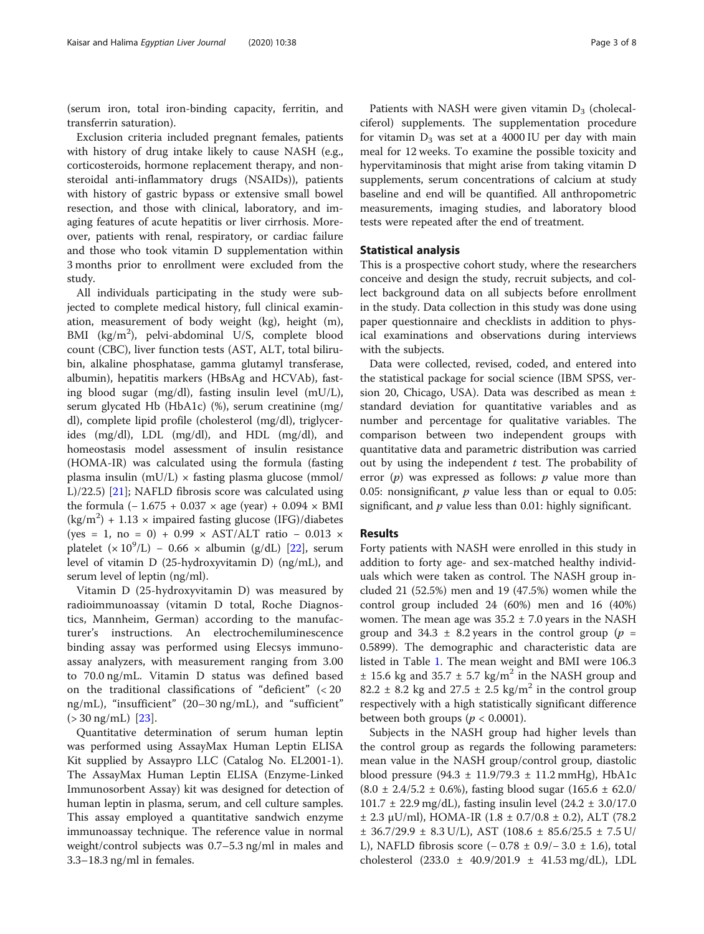(serum iron, total iron-binding capacity, ferritin, and transferrin saturation).

Exclusion criteria included pregnant females, patients with history of drug intake likely to cause NASH (e.g., corticosteroids, hormone replacement therapy, and nonsteroidal anti-inflammatory drugs (NSAIDs)), patients with history of gastric bypass or extensive small bowel resection, and those with clinical, laboratory, and imaging features of acute hepatitis or liver cirrhosis. Moreover, patients with renal, respiratory, or cardiac failure and those who took vitamin D supplementation within 3 months prior to enrollment were excluded from the study.

All individuals participating in the study were subjected to complete medical history, full clinical examination, measurement of body weight (kg), height (m), BMI (kg/m<sup>2</sup>), pelvi-abdominal U/S, complete blood count (CBC), liver function tests (AST, ALT, total bilirubin, alkaline phosphatase, gamma glutamyl transferase, albumin), hepatitis markers (HBsAg and HCVAb), fasting blood sugar (mg/dl), fasting insulin level (mU/L), serum glycated Hb (HbA1c) (%), serum creatinine (mg/ dl), complete lipid profile (cholesterol (mg/dl), triglycerides (mg/dl), LDL (mg/dl), and HDL (mg/dl), and homeostasis model assessment of insulin resistance (HOMA-IR) was calculated using the formula (fasting plasma insulin (mU/L)  $\times$  fasting plasma glucose (mmol/ L)/22.5) [\[21](#page-6-0)]; NAFLD fibrosis score was calculated using the formula  $(-1.675 + 0.037 \times \text{age (year)} + 0.094 \times \text{BMI}$  $(kg/m<sup>2</sup>) + 1.13 \times$  impaired fasting glucose (IFG)/diabetes (yes = 1, no = 0) + 0.99 × AST/ALT ratio − 0.013 × platelet  $(x 10^9/L) - 0.66 \times$  albumin (g/dL) [\[22](#page-6-0)], serum level of vitamin D (25-hydroxyvitamin D) (ng/mL), and serum level of leptin (ng/ml).

Vitamin D (25-hydroxyvitamin D) was measured by radioimmunoassay (vitamin D total, Roche Diagnostics, Mannheim, German) according to the manufacturer's instructions. An electrochemiluminescence binding assay was performed using Elecsys immunoassay analyzers, with measurement ranging from 3.00 to 70.0 ng/mL. Vitamin D status was defined based on the traditional classifications of "deficient" (< 20 ng/mL), "insufficient" (20–30 ng/mL), and "sufficient"  $(> 30 \text{ ng/mL})$  [[23\]](#page-6-0).

Quantitative determination of serum human leptin was performed using AssayMax Human Leptin ELISA Kit supplied by Assaypro LLC (Catalog No. EL2001-1). The AssayMax Human Leptin ELISA (Enzyme-Linked Immunosorbent Assay) kit was designed for detection of human leptin in plasma, serum, and cell culture samples. This assay employed a quantitative sandwich enzyme immunoassay technique. The reference value in normal weight/control subjects was 0.7–5.3 ng/ml in males and 3.3–18.3 ng/ml in females.

Patients with NASH were given vitamin  $D_3$  (cholecalciferol) supplements. The supplementation procedure for vitamin  $D_3$  was set at a 4000 IU per day with main meal for 12 weeks. To examine the possible toxicity and hypervitaminosis that might arise from taking vitamin D supplements, serum concentrations of calcium at study baseline and end will be quantified. All anthropometric measurements, imaging studies, and laboratory blood tests were repeated after the end of treatment.

### Statistical analysis

This is a prospective cohort study, where the researchers conceive and design the study, recruit subjects, and collect background data on all subjects before enrollment in the study. Data collection in this study was done using paper questionnaire and checklists in addition to physical examinations and observations during interviews with the subjects.

Data were collected, revised, coded, and entered into the statistical package for social science (IBM SPSS, version 20, Chicago, USA). Data was described as mean ± standard deviation for quantitative variables and as number and percentage for qualitative variables. The comparison between two independent groups with quantitative data and parametric distribution was carried out by using the independent  $t$  test. The probability of error  $(p)$  was expressed as follows:  $p$  value more than 0.05: nonsignificant,  $p$  value less than or equal to 0.05: significant, and  $p$  value less than 0.01: highly significant.

## Results

Forty patients with NASH were enrolled in this study in addition to forty age- and sex-matched healthy individuals which were taken as control. The NASH group included 21 (52.5%) men and 19 (47.5%) women while the control group included 24 (60%) men and 16 (40%) women. The mean age was  $35.2 \pm 7.0$  years in the NASH group and 34.3  $\pm$  8.2 years in the control group ( $p =$ 0.5899). The demographic and characteristic data are listed in Table [1.](#page-3-0) The mean weight and BMI were 106.3  $\pm$  15.6 kg and 35.7  $\pm$  5.7 kg/m<sup>2</sup> in the NASH group and 82.2  $\pm$  8.2 kg and 27.5  $\pm$  2.5 kg/m<sup>2</sup> in the control group respectively with a high statistically significant difference between both groups ( $p < 0.0001$ ).

Subjects in the NASH group had higher levels than the control group as regards the following parameters: mean value in the NASH group/control group, diastolic blood pressure  $(94.3 \pm 11.9/79.3 \pm 11.2 \text{ mmHg})$ , HbA1c  $(8.0 \pm 2.4/5.2 \pm 0.6\%)$ , fasting blood sugar  $(165.6 \pm 62.0/$ 101.7 ± 22.9 mg/dL), fasting insulin level (24.2 ± 3.0/17.0  $±$  2.3 μU/ml), HOMA-IR (1.8  $±$  0.7/0.8  $±$  0.2), ALT (78.2  $± 36.7/29.9 ± 8.3 U/L$ , AST (108.6  $± 85.6/25.5 ± 7.5 U/C$ L), NAFLD fibrosis score (− 0.78 ± 0.9/− 3.0 ± 1.6), total cholesterol  $(233.0 \pm 40.9/201.9 \pm 41.53 \text{ mg/dL})$ , LDL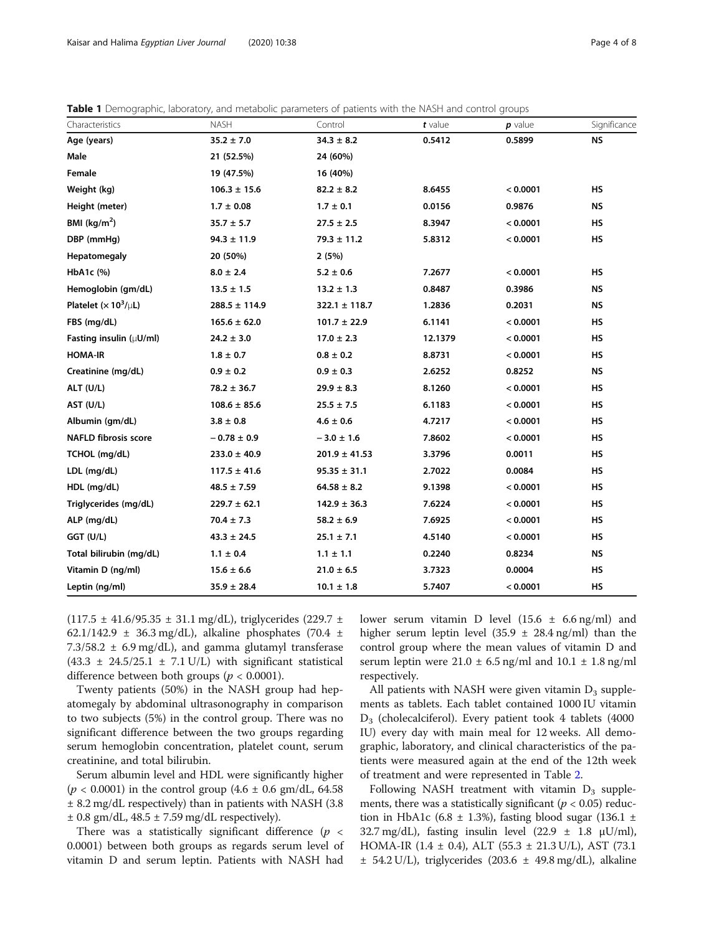<span id="page-3-0"></span>

| <b>Table 1</b> Demographic, laboratory, and metabolic parameters of patients with the NASH and control groups |  |  |  |  |
|---------------------------------------------------------------------------------------------------------------|--|--|--|--|
|---------------------------------------------------------------------------------------------------------------|--|--|--|--|

| Characteristics                                | <b>NASH</b>       | Control           | $t$ value | $p$ value | Significance |
|------------------------------------------------|-------------------|-------------------|-----------|-----------|--------------|
| Age (years)                                    | $35.2 \pm 7.0$    | $34.3 \pm 8.2$    | 0.5412    | 0.5899    | <b>NS</b>    |
| Male                                           | 21 (52.5%)        | 24 (60%)          |           |           |              |
| Female                                         | 19 (47.5%)        | 16 (40%)          |           |           |              |
| Weight (kg)                                    | $106.3 \pm 15.6$  | $82.2 \pm 8.2$    | 8.6455    | < 0.0001  | HS           |
| Height (meter)                                 | $1.7 \pm 0.08$    | $1.7 \pm 0.1$     | 0.0156    | 0.9876    | <b>NS</b>    |
| BMI ( $kg/m2$ )                                | $35.7 \pm 5.7$    | $27.5 \pm 2.5$    | 8.3947    | < 0.0001  | <b>HS</b>    |
| DBP (mmHg)                                     | $94.3 \pm 11.9$   | $79.3 \pm 11.2$   | 5.8312    | < 0.0001  | HS           |
| Hepatomegaly                                   | 20 (50%)          | 2(5%)             |           |           |              |
| HbA1c (%)                                      | $8.0 \pm 2.4$     | $5.2 \pm 0.6$     | 7.2677    | < 0.0001  | <b>HS</b>    |
| Hemoglobin (gm/dL)                             | $13.5 \pm 1.5$    | $13.2 \pm 1.3$    | 0.8487    | 0.3986    | <b>NS</b>    |
| Platelet ( $\times$ 10 <sup>3</sup> / $\mu$ L) | $288.5 \pm 114.9$ | $322.1 \pm 118.7$ | 1.2836    | 0.2031    | <b>NS</b>    |
| FBS (mg/dL)                                    | $165.6 \pm 62.0$  | $101.7 \pm 22.9$  | 6.1141    | < 0.0001  | <b>HS</b>    |
| Fasting insulin $(\mu U/ml)$                   | $24.2 \pm 3.0$    | $17.0 \pm 2.3$    | 12.1379   | < 0.0001  | <b>HS</b>    |
| <b>HOMA-IR</b>                                 | $1.8 \pm 0.7$     | $0.8 \pm 0.2$     | 8.8731    | < 0.0001  | <b>HS</b>    |
| Creatinine (mg/dL)                             | $0.9 \pm 0.2$     | $0.9 \pm 0.3$     | 2.6252    | 0.8252    | <b>NS</b>    |
| ALT (U/L)                                      | $78.2 \pm 36.7$   | $29.9 \pm 8.3$    | 8.1260    | < 0.0001  | <b>HS</b>    |
| AST (U/L)                                      | $108.6 \pm 85.6$  | $25.5 \pm 7.5$    | 6.1183    | < 0.0001  | HS           |
| Albumin (gm/dL)                                | $3.8 \pm 0.8$     | $4.6 \pm 0.6$     | 4.7217    | < 0.0001  | <b>HS</b>    |
| <b>NAFLD fibrosis score</b>                    | $-0.78 \pm 0.9$   | $-3.0 \pm 1.6$    | 7.8602    | < 0.0001  | HS           |
| TCHOL (mg/dL)                                  | $233.0 \pm 40.9$  | $201.9 \pm 41.53$ | 3.3796    | 0.0011    | <b>HS</b>    |
| LDL (mg/dL)                                    | $117.5 \pm 41.6$  | $95.35 \pm 31.1$  | 2.7022    | 0.0084    | <b>HS</b>    |
| HDL (mg/dL)                                    | $48.5 \pm 7.59$   | $64.58 \pm 8.2$   | 9.1398    | < 0.0001  | HS           |
| Triglycerides (mg/dL)                          | $229.7 \pm 62.1$  | $142.9 \pm 36.3$  | 7.6224    | < 0.0001  | <b>HS</b>    |
| ALP (mg/dL)                                    | $70.4 \pm 7.3$    | $58.2 \pm 6.9$    | 7.6925    | < 0.0001  | <b>HS</b>    |
| GGT (U/L)                                      | $43.3 \pm 24.5$   | $25.1 \pm 7.1$    | 4.5140    | < 0.0001  | HS           |
| Total bilirubin (mg/dL)                        | $1.1 \pm 0.4$     | $1.1 \pm 1.1$     | 0.2240    | 0.8234    | <b>NS</b>    |
| Vitamin D (ng/ml)                              | $15.6 \pm 6.6$    | $21.0 \pm 6.5$    | 3.7323    | 0.0004    | <b>HS</b>    |
| Leptin (ng/ml)                                 | $35.9 \pm 28.4$   | $10.1 \pm 1.8$    | 5.7407    | < 0.0001  | <b>HS</b>    |

 $(117.5 \pm 41.6/95.35 \pm 31.1 \text{ mg/dL})$ , triglycerides  $(229.7 \pm 1.1)$ 62.1/142.9  $\pm$  36.3 mg/dL), alkaline phosphates (70.4  $\pm$  $7.3/58.2 \pm 6.9$  mg/dL), and gamma glutamyl transferase (43.3  $\pm$  24.5/25.1  $\pm$  7.1 U/L) with significant statistical difference between both groups ( $p < 0.0001$ ).

Twenty patients (50%) in the NASH group had hepatomegaly by abdominal ultrasonography in comparison to two subjects (5%) in the control group. There was no significant difference between the two groups regarding serum hemoglobin concentration, platelet count, serum creatinine, and total bilirubin.

Serum albumin level and HDL were significantly higher  $(p < 0.0001)$  in the control group  $(4.6 \pm 0.6 \text{ gm/dL}, 64.58)$ ± 8.2 mg/dL respectively) than in patients with NASH (3.8  $\pm$  0.8 gm/dL, 48.5  $\pm$  7.59 mg/dL respectively).

There was a statistically significant difference ( $p <$ 0.0001) between both groups as regards serum level of vitamin D and serum leptin. Patients with NASH had lower serum vitamin D level  $(15.6 \pm 6.6 \text{ ng/ml})$  and higher serum leptin level  $(35.9 \pm 28.4 \text{ ng/ml})$  than the control group where the mean values of vitamin D and serum leptin were  $21.0 \pm 6.5$  ng/ml and  $10.1 \pm 1.8$  ng/ml respectively.

All patients with NASH were given vitamin  $D_3$  supplements as tablets. Each tablet contained 1000 IU vitamin  $D_3$  (cholecalciferol). Every patient took 4 tablets (4000) IU) every day with main meal for 12 weeks. All demographic, laboratory, and clinical characteristics of the patients were measured again at the end of the 12th week of treatment and were represented in Table [2](#page-4-0).

Following NASH treatment with vitamin  $D_3$  supplements, there was a statistically significant ( $p < 0.05$ ) reduction in HbA1c (6.8  $\pm$  1.3%), fasting blood sugar (136.1  $\pm$ 32.7 mg/dL), fasting insulin level (22.9  $\pm$  1.8  $\mu$ U/ml), HOMA-IR  $(1.4 \pm 0.4)$ , ALT  $(55.3 \pm 21.3 \text{ U/L})$ , AST  $(73.1)$  $\pm$  54.2 U/L), triglycerides (203.6  $\pm$  49.8 mg/dL), alkaline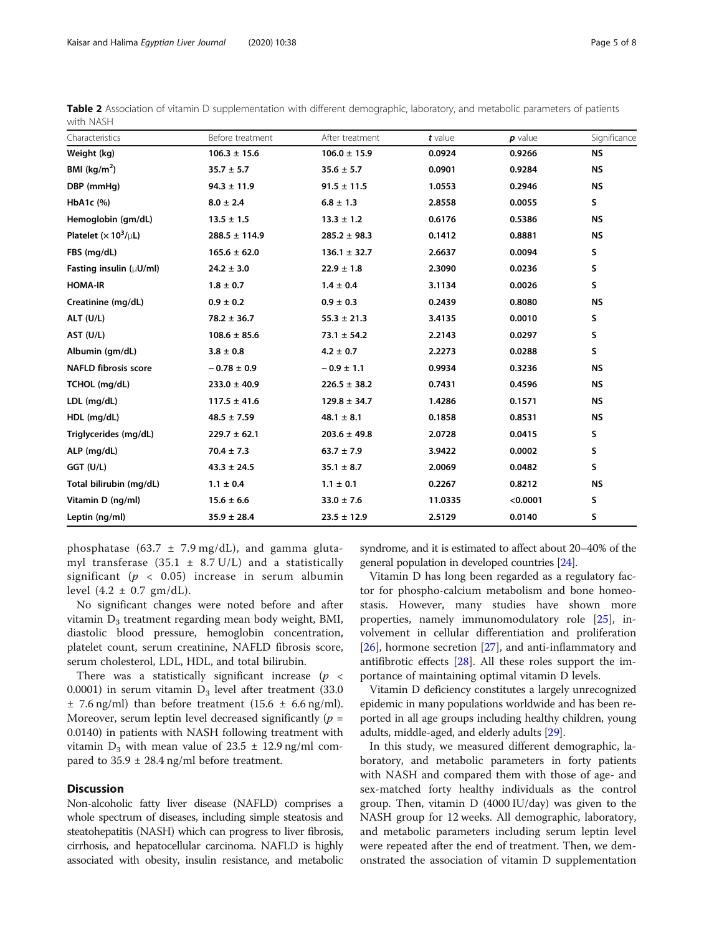| Characteristics                                | Before treatment  | After treatment  | t value | $p$ value | Significance |  |
|------------------------------------------------|-------------------|------------------|---------|-----------|--------------|--|
| Weight (kg)                                    | $106.3 \pm 15.6$  | $106.0 \pm 15.9$ | 0.0924  | 0.9266    | <b>NS</b>    |  |
| BMI $(kq/m2)$                                  | $35.7 \pm 5.7$    | $35.6 \pm 5.7$   | 0.0901  | 0.9284    | <b>NS</b>    |  |
| DBP (mmHg)                                     | $94.3 \pm 11.9$   | $91.5 \pm 11.5$  | 1.0553  | 0.2946    | <b>NS</b>    |  |
| HbA1c (%)                                      | $8.0 \pm 2.4$     | $6.8 \pm 1.3$    | 2.8558  | 0.0055    | S.           |  |
| Hemoglobin (gm/dL)                             | $13.5 \pm 1.5$    | $13.3 \pm 1.2$   | 0.6176  | 0.5386    | <b>NS</b>    |  |
| Platelet ( $\times$ 10 <sup>3</sup> / $\mu$ L) | $288.5 \pm 114.9$ | $285.2 \pm 98.3$ | 0.1412  | 0.8881    | <b>NS</b>    |  |
| FBS (mg/dL)                                    | $165.6 \pm 62.0$  | $136.1 \pm 32.7$ | 2.6637  | 0.0094    | s            |  |
| Fasting insulin $(\mu U/ml)$                   | $24.2 \pm 3.0$    | $22.9 \pm 1.8$   | 2.3090  | 0.0236    | S            |  |
| <b>HOMA-IR</b>                                 | $1.8 \pm 0.7$     | $1.4 \pm 0.4$    | 3.1134  | 0.0026    | S            |  |
| Creatinine (mg/dL)                             | $0.9 \pm 0.2$     | $0.9 \pm 0.3$    | 0.2439  | 0.8080    | <b>NS</b>    |  |
| ALT (U/L)                                      | $78.2 \pm 36.7$   | $55.3 \pm 21.3$  | 3.4135  | 0.0010    | S            |  |
| AST (U/L)                                      | $108.6 \pm 85.6$  | $73.1 \pm 54.2$  | 2.2143  | 0.0297    | S            |  |
| Albumin (qm/dL)                                | $3.8 \pm 0.8$     | $4.2 \pm 0.7$    | 2.2273  | 0.0288    | s            |  |
| <b>NAFLD fibrosis score</b>                    | $-0.78 \pm 0.9$   | $-0.9 \pm 1.1$   | 0.9934  | 0.3236    | <b>NS</b>    |  |
| TCHOL (mg/dL)                                  | $233.0 \pm 40.9$  | $226.5 \pm 38.2$ | 0.7431  | 0.4596    | <b>NS</b>    |  |
| LDL (mg/dL)                                    | $117.5 \pm 41.6$  | $129.8 \pm 34.7$ | 1.4286  | 0.1571    | <b>NS</b>    |  |
| $HDL$ (mg/dL)                                  | $48.5 \pm 7.59$   | $48.1 \pm 8.1$   | 0.1858  | 0.8531    | <b>NS</b>    |  |
| Triglycerides (mg/dL)                          | $229.7 \pm 62.1$  | $203.6 \pm 49.8$ | 2.0728  | 0.0415    | S            |  |
| ALP (mg/dL)                                    | $70.4 \pm 7.3$    | $63.7 \pm 7.9$   | 3.9422  | 0.0002    | s            |  |
| GGT (U/L)                                      | $43.3 \pm 24.5$   | $35.1 \pm 8.7$   | 2.0069  | 0.0482    | S            |  |
| Total bilirubin (mg/dL)                        | $1.1 \pm 0.4$     | $1.1 \pm 0.1$    | 0.2267  | 0.8212    | <b>NS</b>    |  |
| Vitamin D (ng/ml)                              | $15.6 \pm 6.6$    | $33.0 \pm 7.6$   | 11.0335 | < 0.0001  | s            |  |
| Leptin (ng/ml)                                 | $35.9 \pm 28.4$   | $23.5 \pm 12.9$  | 2.5129  | 0.0140    | s            |  |

<span id="page-4-0"></span>Table 2 Association of vitamin D supplementation with different demographic, laboratory, and metabolic parameters of patients with NASH

phosphatase (63.7  $\pm$  7.9 mg/dL), and gamma glutamyl transferase  $(35.1 \pm 8.7 \text{ U/L})$  and a statistically significant ( $p < 0.05$ ) increase in serum albumin level  $(4.2 \pm 0.7 \text{ gm/dL}).$ 

No significant changes were noted before and after vitamin  $D_3$  treatment regarding mean body weight, BMI, diastolic blood pressure, hemoglobin concentration, platelet count, serum creatinine, NAFLD fibrosis score, serum cholesterol, LDL, HDL, and total bilirubin.

There was a statistically significant increase  $(p \lt p)$ 0.0001) in serum vitamin  $D_3$  level after treatment (33.0)  $\pm$  7.6 ng/ml) than before treatment (15.6  $\pm$  6.6 ng/ml). Moreover, serum leptin level decreased significantly ( $p =$ 0.0140) in patients with NASH following treatment with vitamin  $D_3$  with mean value of 23.5  $\pm$  12.9 ng/ml compared to  $35.9 \pm 28.4$  ng/ml before treatment.

## **Discussion**

Non-alcoholic fatty liver disease (NAFLD) comprises a whole spectrum of diseases, including simple steatosis and steatohepatitis (NASH) which can progress to liver fibrosis, cirrhosis, and hepatocellular carcinoma. NAFLD is highly associated with obesity, insulin resistance, and metabolic syndrome, and it is estimated to affect about 20–40% of the general population in developed countries [\[24\]](#page-7-0).

Vitamin D has long been regarded as a regulatory factor for phospho-calcium metabolism and bone homeostasis. However, many studies have shown more properties, namely immunomodulatory role [\[25\]](#page-7-0), involvement in cellular differentiation and proliferation [[26\]](#page-7-0), hormone secretion [[27\]](#page-7-0), and anti-inflammatory and antifibrotic effects [\[28\]](#page-7-0). All these roles support the importance of maintaining optimal vitamin D levels.

Vitamin D deficiency constitutes a largely unrecognized epidemic in many populations worldwide and has been reported in all age groups including healthy children, young adults, middle-aged, and elderly adults [[29](#page-7-0)].

In this study, we measured different demographic, laboratory, and metabolic parameters in forty patients with NASH and compared them with those of age- and sex-matched forty healthy individuals as the control group. Then, vitamin D (4000 IU/day) was given to the NASH group for 12 weeks. All demographic, laboratory, and metabolic parameters including serum leptin level were repeated after the end of treatment. Then, we demonstrated the association of vitamin D supplementation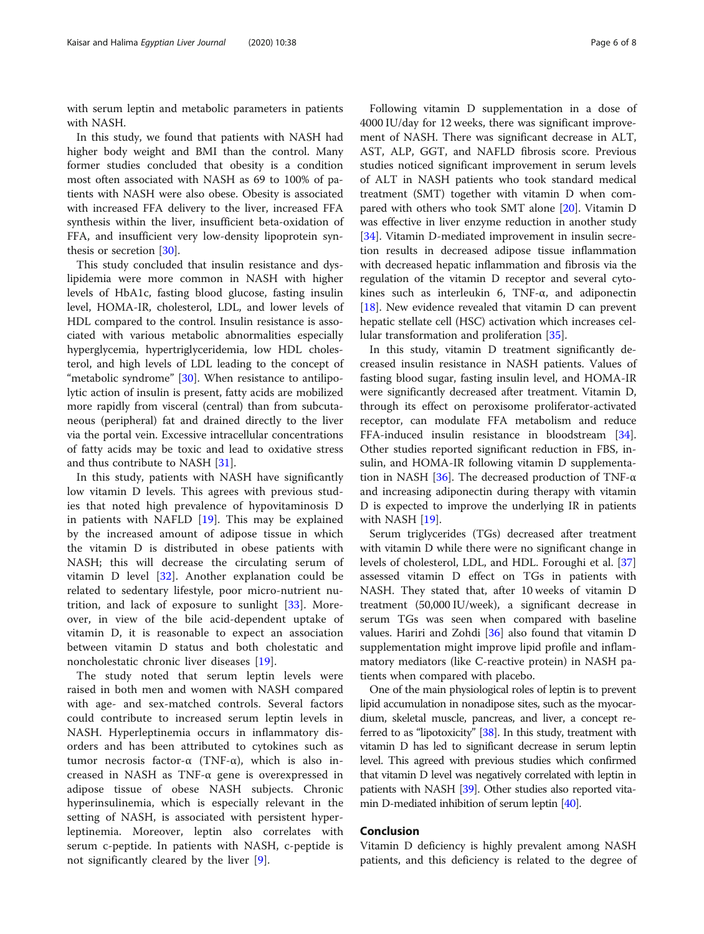with serum leptin and metabolic parameters in patients with NASH.

In this study, we found that patients with NASH had higher body weight and BMI than the control. Many former studies concluded that obesity is a condition most often associated with NASH as 69 to 100% of patients with NASH were also obese. Obesity is associated with increased FFA delivery to the liver, increased FFA synthesis within the liver, insufficient beta-oxidation of FFA, and insufficient very low-density lipoprotein synthesis or secretion [\[30](#page-7-0)].

This study concluded that insulin resistance and dyslipidemia were more common in NASH with higher levels of HbA1c, fasting blood glucose, fasting insulin level, HOMA-IR, cholesterol, LDL, and lower levels of HDL compared to the control. Insulin resistance is associated with various metabolic abnormalities especially hyperglycemia, hypertriglyceridemia, low HDL cholesterol, and high levels of LDL leading to the concept of "metabolic syndrome" [[30\]](#page-7-0). When resistance to antilipolytic action of insulin is present, fatty acids are mobilized more rapidly from visceral (central) than from subcutaneous (peripheral) fat and drained directly to the liver via the portal vein. Excessive intracellular concentrations of fatty acids may be toxic and lead to oxidative stress and thus contribute to NASH [[31\]](#page-7-0).

In this study, patients with NASH have significantly low vitamin D levels. This agrees with previous studies that noted high prevalence of hypovitaminosis D in patients with NAFLD  $[19]$  $[19]$ . This may be explained by the increased amount of adipose tissue in which the vitamin D is distributed in obese patients with NASH; this will decrease the circulating serum of vitamin D level [\[32](#page-7-0)]. Another explanation could be related to sedentary lifestyle, poor micro-nutrient nutrition, and lack of exposure to sunlight [[33\]](#page-7-0). Moreover, in view of the bile acid-dependent uptake of vitamin D, it is reasonable to expect an association between vitamin D status and both cholestatic and noncholestatic chronic liver diseases [[19\]](#page-6-0).

The study noted that serum leptin levels were raised in both men and women with NASH compared with age- and sex-matched controls. Several factors could contribute to increased serum leptin levels in NASH. Hyperleptinemia occurs in inflammatory disorders and has been attributed to cytokines such as tumor necrosis factor-α (TNF-α), which is also increased in NASH as TNF-α gene is overexpressed in adipose tissue of obese NASH subjects. Chronic hyperinsulinemia, which is especially relevant in the setting of NASH, is associated with persistent hyperleptinemia. Moreover, leptin also correlates with serum c-peptide. In patients with NASH, c-peptide is not significantly cleared by the liver [[9](#page-6-0)].

Following vitamin D supplementation in a dose of 4000 IU/day for 12 weeks, there was significant improvement of NASH. There was significant decrease in ALT, AST, ALP, GGT, and NAFLD fibrosis score. Previous studies noticed significant improvement in serum levels of ALT in NASH patients who took standard medical treatment (SMT) together with vitamin D when compared with others who took SMT alone [\[20](#page-6-0)]. Vitamin D was effective in liver enzyme reduction in another study [[34\]](#page-7-0). Vitamin D-mediated improvement in insulin secretion results in decreased adipose tissue inflammation with decreased hepatic inflammation and fibrosis via the regulation of the vitamin D receptor and several cytokines such as interleukin 6, TNF-α, and adiponectin [[18\]](#page-6-0). New evidence revealed that vitamin D can prevent hepatic stellate cell (HSC) activation which increases cellular transformation and proliferation [[35\]](#page-7-0).

In this study, vitamin D treatment significantly decreased insulin resistance in NASH patients. Values of fasting blood sugar, fasting insulin level, and HOMA-IR were significantly decreased after treatment. Vitamin D, through its effect on peroxisome proliferator-activated receptor, can modulate FFA metabolism and reduce FFA-induced insulin resistance in bloodstream [\[34](#page-7-0)]. Other studies reported significant reduction in FBS, insulin, and HOMA-IR following vitamin D supplementa-tion in NASH [\[36](#page-7-0)]. The decreased production of TNF- $\alpha$ and increasing adiponectin during therapy with vitamin D is expected to improve the underlying IR in patients with NASH [[19\]](#page-6-0).

Serum triglycerides (TGs) decreased after treatment with vitamin D while there were no significant change in levels of cholesterol, LDL, and HDL. Foroughi et al. [[37](#page-7-0)] assessed vitamin D effect on TGs in patients with NASH. They stated that, after 10 weeks of vitamin D treatment (50,000 IU/week), a significant decrease in serum TGs was seen when compared with baseline values. Hariri and Zohdi [\[36](#page-7-0)] also found that vitamin D supplementation might improve lipid profile and inflammatory mediators (like C-reactive protein) in NASH patients when compared with placebo.

One of the main physiological roles of leptin is to prevent lipid accumulation in nonadipose sites, such as the myocardium, skeletal muscle, pancreas, and liver, a concept referred to as "lipotoxicity" [\[38\]](#page-7-0). In this study, treatment with vitamin D has led to significant decrease in serum leptin level. This agreed with previous studies which confirmed that vitamin D level was negatively correlated with leptin in patients with NASH [[39](#page-7-0)]. Other studies also reported vitamin D-mediated inhibition of serum leptin [[40](#page-7-0)].

## Conclusion

Vitamin D deficiency is highly prevalent among NASH patients, and this deficiency is related to the degree of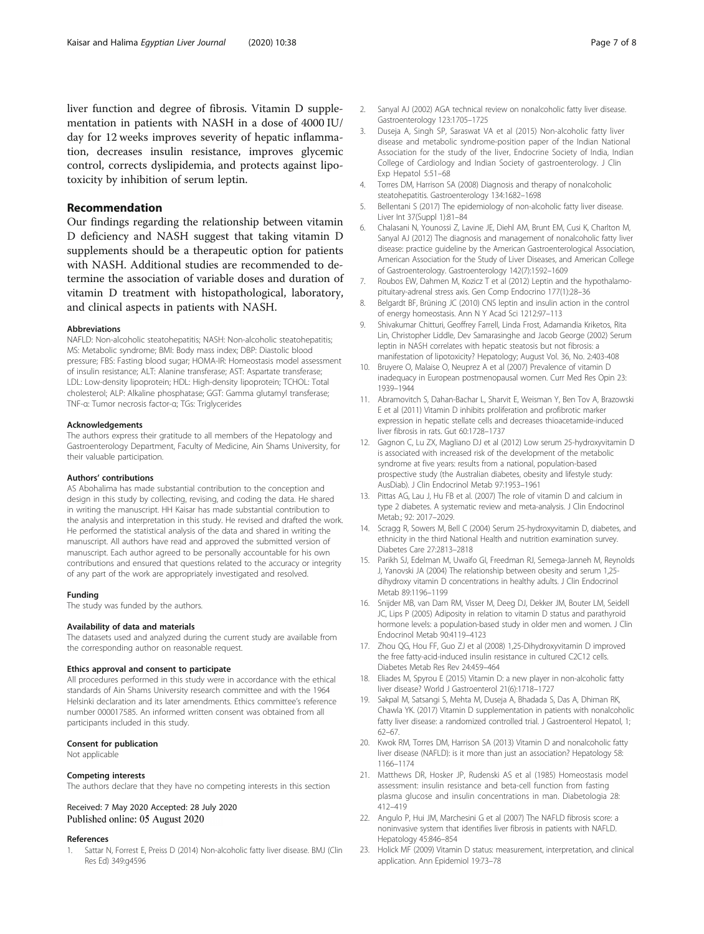## <span id="page-6-0"></span>Recommendation

Our findings regarding the relationship between vitamin D deficiency and NASH suggest that taking vitamin D supplements should be a therapeutic option for patients with NASH. Additional studies are recommended to determine the association of variable doses and duration of vitamin D treatment with histopathological, laboratory, and clinical aspects in patients with NASH.

#### Abbreviations

NAFLD: Non-alcoholic steatohepatitis; NASH: Non-alcoholic steatohepatitis; MS: Metabolic syndrome; BMI: Body mass index; DBP: Diastolic blood pressure; FBS: Fasting blood sugar; HOMA-IR: Homeostasis model assessment of insulin resistance; ALT: Alanine transferase; AST: Aspartate transferase; LDL: Low-density lipoprotein; HDL: High-density lipoprotein; TCHOL: Total cholesterol; ALP: Alkaline phosphatase; GGT: Gamma glutamyl transferase; TNF-α: Tumor necrosis factor-α; TGs: Triglycerides

#### Acknowledgements

The authors express their gratitude to all members of the Hepatology and Gastroenterology Department, Faculty of Medicine, Ain Shams University, for their valuable participation.

#### Authors' contributions

AS Abohalima has made substantial contribution to the conception and design in this study by collecting, revising, and coding the data. He shared in writing the manuscript. HH Kaisar has made substantial contribution to the analysis and interpretation in this study. He revised and drafted the work. He performed the statistical analysis of the data and shared in writing the manuscript. All authors have read and approved the submitted version of manuscript. Each author agreed to be personally accountable for his own contributions and ensured that questions related to the accuracy or integrity of any part of the work are appropriately investigated and resolved.

#### Funding

The study was funded by the authors.

#### Availability of data and materials

The datasets used and analyzed during the current study are available from the corresponding author on reasonable request.

#### Ethics approval and consent to participate

All procedures performed in this study were in accordance with the ethical standards of Ain Shams University research committee and with the 1964 Helsinki declaration and its later amendments. Ethics committee's reference number 000017585. An informed written consent was obtained from all participants included in this study.

#### Consent for publication

Not applicable

#### Competing interests

The authors declare that they have no competing interests in this section

### Received: 7 May 2020 Accepted: 28 July 2020 Published online: 05 August 2020

#### References

1. Sattar N, Forrest E, Preiss D (2014) Non-alcoholic fatty liver disease. BMJ (Clin Res Ed) 349:g4596

- 2. Sanyal AJ (2002) AGA technical review on nonalcoholic fatty liver disease. Gastroenterology 123:1705–1725
- 3. Duseja A, Singh SP, Saraswat VA et al (2015) Non-alcoholic fatty liver disease and metabolic syndrome-position paper of the Indian National Association for the study of the liver, Endocrine Society of India, Indian College of Cardiology and Indian Society of gastroenterology. J Clin Exp Hepatol 5:51–68
- 4. Torres DM, Harrison SA (2008) Diagnosis and therapy of nonalcoholic steatohepatitis. Gastroenterology 134:1682–1698
- 5. Bellentani S (2017) The epidemiology of non-alcoholic fatty liver disease. Liver Int 37(Suppl 1):81–84
- 6. Chalasani N, Younossi Z, Lavine JE, Diehl AM, Brunt EM, Cusi K, Charlton M, Sanyal AJ (2012) The diagnosis and management of nonalcoholic fatty liver disease: practice guideline by the American Gastroenterological Association, American Association for the Study of Liver Diseases, and American College of Gastroenterology. Gastroenterology 142(7):1592–1609
- 7. Roubos EW, Dahmen M, Kozicz T et al (2012) Leptin and the hypothalamopituitary-adrenal stress axis. Gen Comp Endocrino 177(1):28–36
- 8. Belgardt BF, Brüning JC (2010) CNS leptin and insulin action in the control of energy homeostasis. Ann N Y Acad Sci 1212:97–113
- 9. Shivakumar Chitturi, Geoffrey Farrell, Linda Frost, Adamandia Kriketos, Rita Lin, Christopher Liddle, Dev Samarasinghe and Jacob George (2002) Serum leptin in NASH correlates with hepatic steatosis but not fibrosis: a manifestation of lipotoxicity? Hepatology; August Vol. 36, No. 2:403-408
- 10. Bruyere O, Malaise O, Neuprez A et al (2007) Prevalence of vitamin D inadequacy in European postmenopausal women. Curr Med Res Opin 23: 1939–1944
- 11. Abramovitch S, Dahan-Bachar L, Sharvit E, Weisman Y, Ben Tov A, Brazowski E et al (2011) Vitamin D inhibits proliferation and profibrotic marker expression in hepatic stellate cells and decreases thioacetamide-induced liver fibrosis in rats. Gut 60:1728–1737
- 12. Gagnon C, Lu ZX, Magliano DJ et al (2012) Low serum 25-hydroxyvitamin D is associated with increased risk of the development of the metabolic syndrome at five years: results from a national, population-based prospective study (the Australian diabetes, obesity and lifestyle study: AusDiab). J Clin Endocrinol Metab 97:1953–1961
- 13. Pittas AG, Lau J, Hu FB et al. (2007) The role of vitamin D and calcium in type 2 diabetes. A systematic review and meta-analysis. J Clin Endocrinol Metab.; 92: 2017–2029.
- 14. Scragg R, Sowers M, Bell C (2004) Serum 25-hydroxyvitamin D, diabetes, and ethnicity in the third National Health and nutrition examination survey. Diabetes Care 27:2813–2818
- 15. Parikh SJ, Edelman M, Uwaifo GI, Freedman RJ, Semega-Janneh M, Reynolds J, Yanovski JA (2004) The relationship between obesity and serum 1,25 dihydroxy vitamin D concentrations in healthy adults. J Clin Endocrinol Metab 89:1196–1199
- 16. Snijder MB, van Dam RM, Visser M, Deeg DJ, Dekker JM, Bouter LM, Seidell JC, Lips P (2005) Adiposity in relation to vitamin D status and parathyroid hormone levels: a population-based study in older men and women. J Clin Endocrinol Metab 90:4119–4123
- 17. Zhou QG, Hou FF, Guo ZJ et al (2008) 1,25-Dihydroxyvitamin D improved the free fatty-acid-induced insulin resistance in cultured C2C12 cells. Diabetes Metab Res Rev 24:459–464
- 18. Eliades M, Spyrou E (2015) Vitamin D: a new player in non-alcoholic fatty liver disease? World J Gastroenterol 21(6):1718–1727
- 19. Sakpal M, Satsangi S, Mehta M, Duseja A, Bhadada S, Das A, Dhiman RK, Chawla YK. (2017) Vitamin D supplementation in patients with nonalcoholic fatty liver disease: a randomized controlled trial. J Gastroenterol Hepatol, 1; 62–67.
- 20. Kwok RM, Torres DM, Harrison SA (2013) Vitamin D and nonalcoholic fatty liver disease (NAFLD): is it more than just an association? Hepatology 58: 1166–1174
- 21. Matthews DR, Hosker JP, Rudenski AS et al (1985) Homeostasis model assessment: insulin resistance and beta-cell function from fasting plasma glucose and insulin concentrations in man. Diabetologia 28: 412–419
- 22. Angulo P, Hui JM, Marchesini G et al (2007) The NAFLD fibrosis score: a noninvasive system that identifies liver fibrosis in patients with NAFLD. Hepatology 45:846–854
- 23. Holick MF (2009) Vitamin D status: measurement, interpretation, and clinical application. Ann Epidemiol 19:73–78